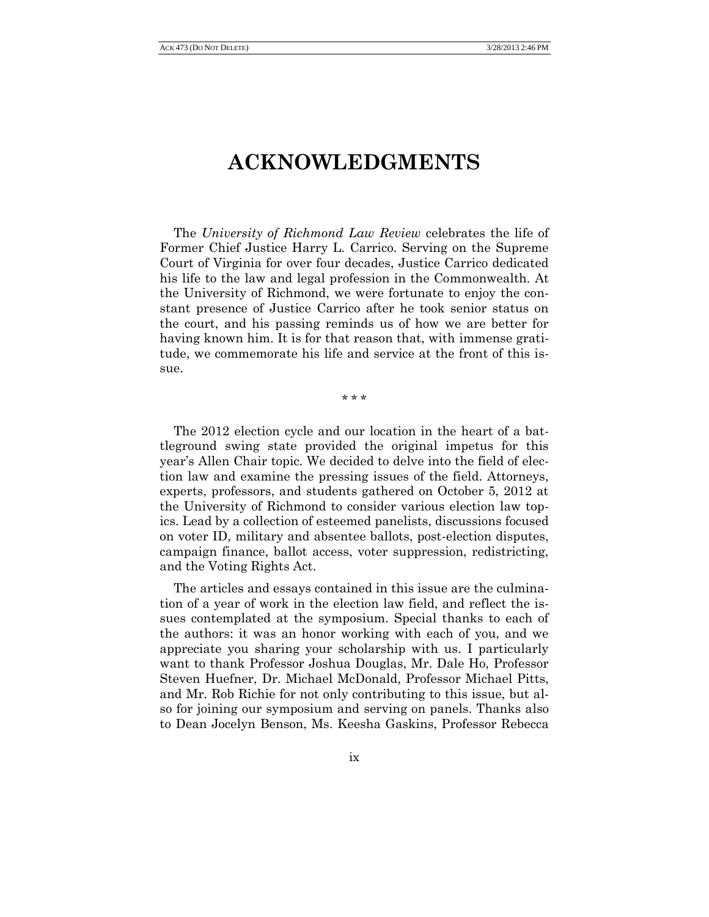## **ACKNOWLEDGMENTS**

The *University of Richmond Law Review* celebrates the life of Former Chief Justice Harry L. Carrico. Serving on the Supreme Court of Virginia for over four decades, Justice Carrico dedicated his life to the law and legal profession in the Commonwealth. At the University of Richmond, we were fortunate to enjoy the constant presence of Justice Carrico after he took senior status on the court, and his passing reminds us of how we are better for having known him. It is for that reason that, with immense gratitude, we commemorate his life and service at the front of this issue.

\* \* \*

The 2012 election cycle and our location in the heart of a battleground swing state provided the original impetus for this year's Allen Chair topic. We decided to delve into the field of election law and examine the pressing issues of the field. Attorneys, experts, professors, and students gathered on October 5, 2012 at the University of Richmond to consider various election law topics. Lead by a collection of esteemed panelists, discussions focused on voter ID, military and absentee ballots, post-election disputes, campaign finance, ballot access, voter suppression, redistricting, and the Voting Rights Act.

The articles and essays contained in this issue are the culmination of a year of work in the election law field, and reflect the issues contemplated at the symposium. Special thanks to each of the authors: it was an honor working with each of you, and we appreciate you sharing your scholarship with us. I particularly want to thank Professor Joshua Douglas, Mr. Dale Ho, Professor Steven Huefner, Dr. Michael McDonald, Professor Michael Pitts, and Mr. Rob Richie for not only contributing to this issue, but also for joining our symposium and serving on panels. Thanks also to Dean Jocelyn Benson, Ms. Keesha Gaskins, Professor Rebecca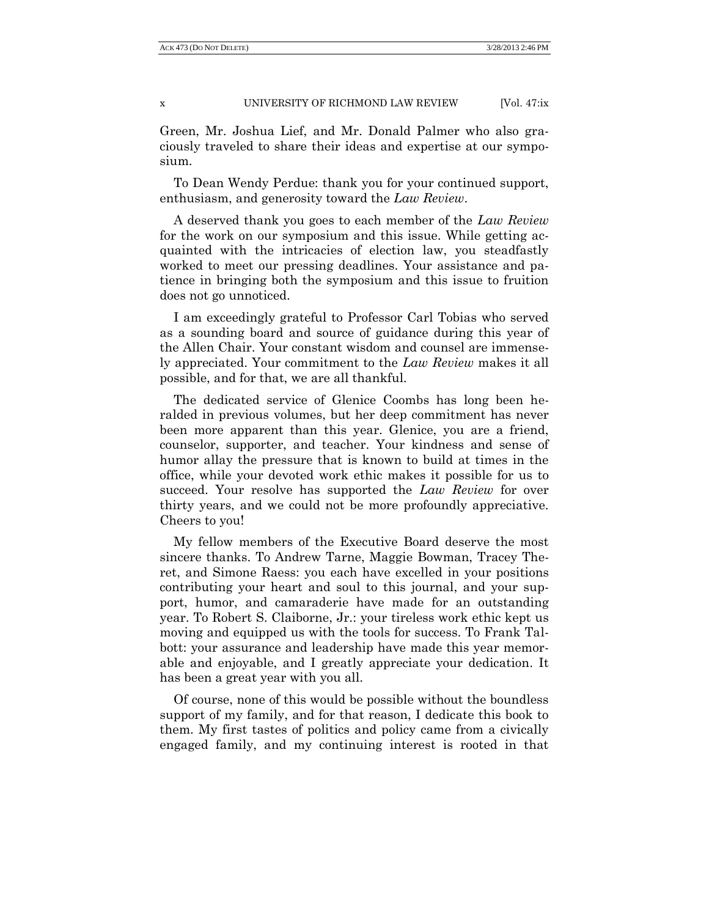x UNIVERSITY OF RICHMOND LAW REVIEW [Vol. 47:ix

Green, Mr. Joshua Lief, and Mr. Donald Palmer who also graciously traveled to share their ideas and expertise at our symposium.

To Dean Wendy Perdue: thank you for your continued support, enthusiasm, and generosity toward the *Law Review*.

A deserved thank you goes to each member of the *Law Review* for the work on our symposium and this issue. While getting acquainted with the intricacies of election law, you steadfastly worked to meet our pressing deadlines. Your assistance and patience in bringing both the symposium and this issue to fruition does not go unnoticed.

I am exceedingly grateful to Professor Carl Tobias who served as a sounding board and source of guidance during this year of the Allen Chair. Your constant wisdom and counsel are immensely appreciated. Your commitment to the *Law Review* makes it all possible, and for that, we are all thankful.

The dedicated service of Glenice Coombs has long been heralded in previous volumes, but her deep commitment has never been more apparent than this year. Glenice, you are a friend, counselor, supporter, and teacher. Your kindness and sense of humor allay the pressure that is known to build at times in the office, while your devoted work ethic makes it possible for us to succeed. Your resolve has supported the *Law Review* for over thirty years, and we could not be more profoundly appreciative. Cheers to you!

My fellow members of the Executive Board deserve the most sincere thanks. To Andrew Tarne, Maggie Bowman, Tracey Theret, and Simone Raess: you each have excelled in your positions contributing your heart and soul to this journal, and your support, humor, and camaraderie have made for an outstanding year. To Robert S. Claiborne, Jr.: your tireless work ethic kept us moving and equipped us with the tools for success. To Frank Talbott: your assurance and leadership have made this year memorable and enjoyable, and I greatly appreciate your dedication. It has been a great year with you all.

Of course, none of this would be possible without the boundless support of my family, and for that reason, I dedicate this book to them. My first tastes of politics and policy came from a civically engaged family, and my continuing interest is rooted in that